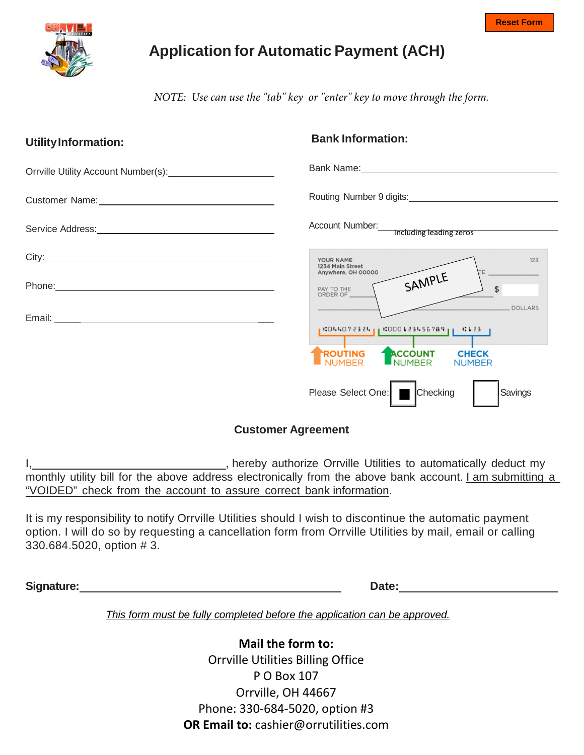

# **Application for Automatic Payment (ACH)**

*NOTE: Use can use the "tab" key or "enter" key to move through the form.*

| <b>UtilityInformation:</b>           | <b>Bank Information:</b>                                                                                                                                                                                                       |
|--------------------------------------|--------------------------------------------------------------------------------------------------------------------------------------------------------------------------------------------------------------------------------|
| Orrville Utility Account Number(s):  | Bank Name: Name: Name and Separate Separate Separate Separate Separate Separate Separate Separate Separate Separate Separate Separate Separate Separate Separate Separate Separate Separate Separate Separate Separate Separat |
|                                      | Routing Number 9 digits:<br><u>Number 9 digits:</u>                                                                                                                                                                            |
|                                      | Account Number: Including leading zeros                                                                                                                                                                                        |
| City: <u>City: City: City: City:</u> | YOUR NAME<br>123<br>1234 Main Street<br><b>TE</b><br>Anywhere, OH 00000                                                                                                                                                        |
|                                      | SAMPLE<br>\$<br>PAY TO THE<br>ORDER OF                                                                                                                                                                                         |
|                                      | <b>DOLLARS</b><br>  CILLO?2324   000123456789   CI23 <br><b>ACCOUNT</b><br>ROUTING<br><b>CHECK</b><br><b>NUMBER</b><br><b>NUMBER</b>                                                                                           |
|                                      | <b>Checking</b><br>Please Select One:  <br>Savings                                                                                                                                                                             |

#### **Customer Agreement**

I, hereby authorize Orrville Utilities to automatically deduct my monthly utility bill for the above address electronically from the above bank account. I am submitting a "VOIDED" check from the account to assure correct bank information.

It is my responsibility to notify Orrville Utilities should I wish to discontinue the automatic payment option. I will do so by requesting a cancellation form from Orrville Utilities by mail, email or calling 330.684.5020, option # 3.

**Signature:** Date: Date: **Date:** Date: **Date: Date: Date: Date: Date: Date: Date: Date: Date: Date: Date: Date: Date: Date: Date: Date: Date: Date: Date: Date: Date: Date: Date:** 

*This form must be fully completed before the application can be approved.*

**Mail the form to:** Orrville Utilities Billing Office P O Box 107 Orrville, OH 44667 Phone: 330-684-5020, option #3 **OR Email to:** cashier@orrutilities.com